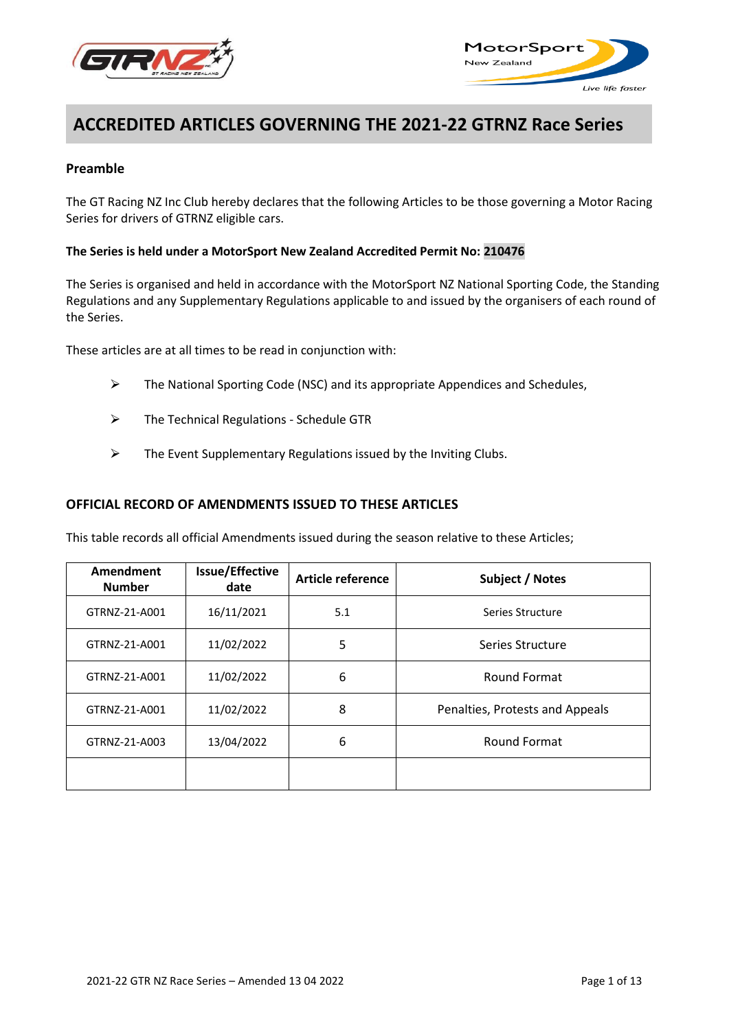



# **ACCREDITED ARTICLES GOVERNING THE 2021-22 GTRNZ Race Series**

## **Preamble**

The GT Racing NZ Inc Club hereby declares that the following Articles to be those governing a Motor Racing Series for drivers of GTRNZ eligible cars.

## **The Series is held under a MotorSport New Zealand Accredited Permit No: 210476**

The Series is organised and held in accordance with the MotorSport NZ National Sporting Code, the Standing Regulations and any Supplementary Regulations applicable to and issued by the organisers of each round of the Series.

These articles are at all times to be read in conjunction with:

- $\triangleright$  The National Sporting Code (NSC) and its appropriate Appendices and Schedules,
- $\triangleright$  The Technical Regulations Schedule GTR
- $\triangleright$  The Event Supplementary Regulations issued by the Inviting Clubs.

## **OFFICIAL RECORD OF AMENDMENTS ISSUED TO THESE ARTICLES**

This table records all official Amendments issued during the season relative to these Articles;

| Amendment<br><b>Number</b> | <b>Issue/Effective</b><br>date | Article reference | Subject / Notes                 |
|----------------------------|--------------------------------|-------------------|---------------------------------|
| GTRNZ-21-A001              | 16/11/2021                     | 5.1               | Series Structure                |
| GTRNZ-21-A001              | 11/02/2022                     | 5                 | Series Structure                |
| GTRNZ-21-A001              | 11/02/2022                     | 6                 | Round Format                    |
| GTRNZ-21-A001              | 11/02/2022                     | 8                 | Penalties, Protests and Appeals |
| GTRNZ-21-A003              | 13/04/2022                     | 6                 | Round Format                    |
|                            |                                |                   |                                 |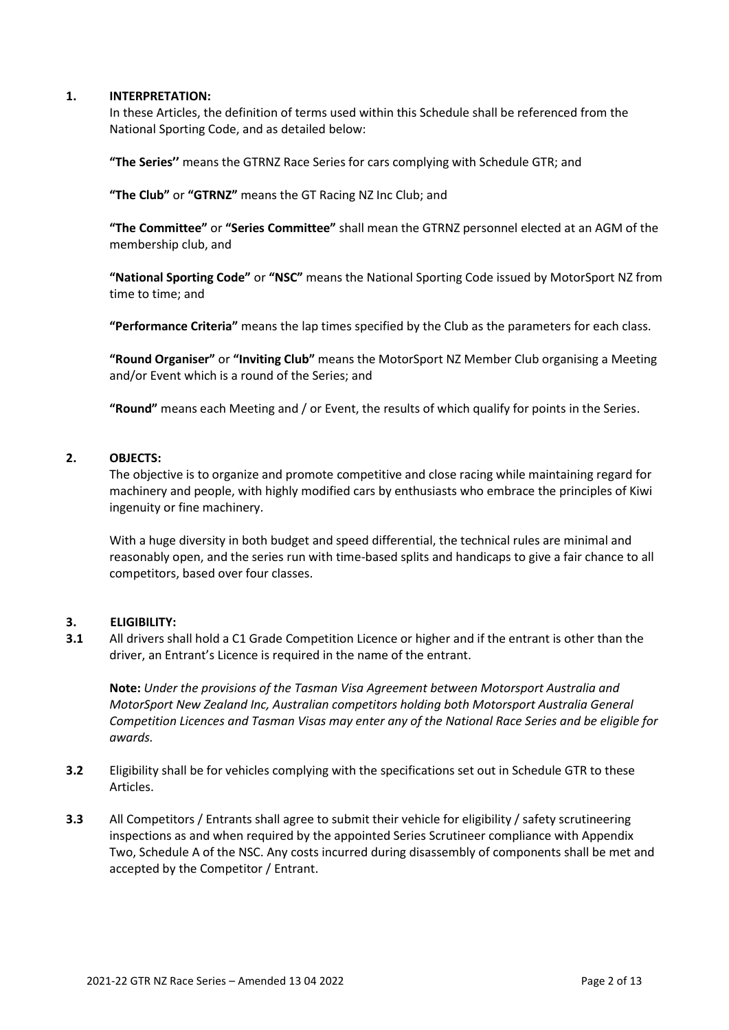## **1. INTERPRETATION:**

In these Articles, the definition of terms used within this Schedule shall be referenced from the National Sporting Code, and as detailed below:

**"The Series''** means the GTRNZ Race Series for cars complying with Schedule GTR; and

**"The Club"** or **"GTRNZ"** means the GT Racing NZ Inc Club; and

**"The Committee"** or **"Series Committee"** shall mean the GTRNZ personnel elected at an AGM of the membership club, and

**"National Sporting Code"** or **"NSC"** means the National Sporting Code issued by MotorSport NZ from time to time; and

**"Performance Criteria"** means the lap times specified by the Club as the parameters for each class.

**"Round Organiser"** or **"Inviting Club"** means the MotorSport NZ Member Club organising a Meeting and/or Event which is a round of the Series; and

**"Round"** means each Meeting and / or Event, the results of which qualify for points in the Series.

## **2. OBJECTS:**

The objective is to organize and promote competitive and close racing while maintaining regard for machinery and people, with highly modified cars by enthusiasts who embrace the principles of Kiwi ingenuity or fine machinery.

With a huge diversity in both budget and speed differential, the technical rules are minimal and reasonably open, and the series run with time-based splits and handicaps to give a fair chance to all competitors, based over four classes.

#### **3. ELIGIBILITY:**

**3.1** All drivers shall hold a C1 Grade Competition Licence or higher and if the entrant is other than the driver, an Entrant's Licence is required in the name of the entrant.

**Note:** *Under the provisions of the Tasman Visa Agreement between Motorsport Australia and MotorSport New Zealand Inc, Australian competitors holding both Motorsport Australia General Competition Licences and Tasman Visas may enter any of the National Race Series and be eligible for awards.*

- **3.2** Eligibility shall be for vehicles complying with the specifications set out in Schedule GTR to these Articles.
- **3.3** All Competitors / Entrants shall agree to submit their vehicle for eligibility / safety scrutineering inspections as and when required by the appointed Series Scrutineer compliance with Appendix Two, Schedule A of the NSC. Any costs incurred during disassembly of components shall be met and accepted by the Competitor / Entrant.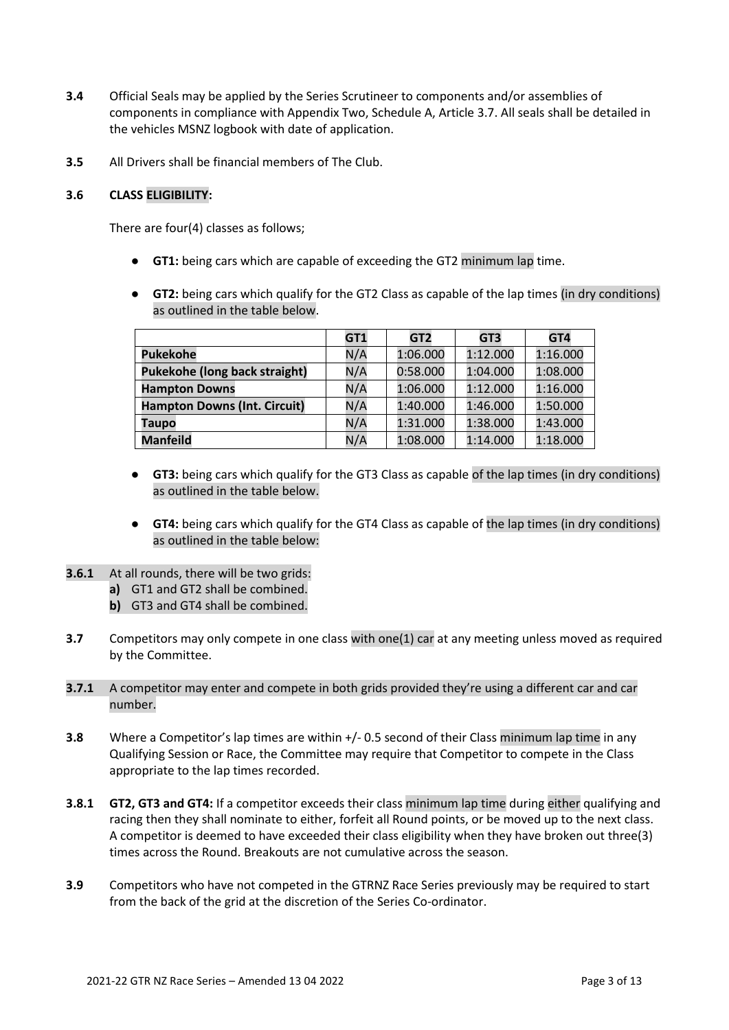- **3.4** Official Seals may be applied by the Series Scrutineer to components and/or assemblies of components in compliance with Appendix Two, Schedule A, Article 3.7. All seals shall be detailed in the vehicles MSNZ logbook with date of application.
- **3.5** All Drivers shall be financial members of The Club.

## **3.6 CLASS ELIGIBILITY:**

There are four(4) classes as follows;

- **GT1:** being cars which are capable of exceeding the GT2 minimum lap time.
- **GT2:** being cars which qualify for the GT2 Class as capable of the lap times (in dry conditions) as outlined in the table below.

|                                     | GT1 | GT <sub>2</sub> | GT <sub>3</sub> | GT4      |
|-------------------------------------|-----|-----------------|-----------------|----------|
| <b>Pukekohe</b>                     | N/A | 1:06.000        | 1:12.000        | 1:16.000 |
| Pukekohe (long back straight)       | N/A | 0:58.000        | 1:04.000        | 1:08.000 |
| <b>Hampton Downs</b>                | N/A | 1:06.000        | 1:12.000        | 1:16.000 |
| <b>Hampton Downs (Int. Circuit)</b> | N/A | 1:40.000        | 1:46.000        | 1:50.000 |
| Taupo                               | N/A | 1:31.000        | 1:38.000        | 1:43.000 |
| <b>Manfeild</b>                     | N/A | 1:08.000        | 1:14.000        | 1:18.000 |

- **GT3:** being cars which qualify for the GT3 Class as capable of the lap times (in dry conditions) as outlined in the table below.
- **GT4:** being cars which qualify for the GT4 Class as capable of the lap times (in dry conditions) as outlined in the table below:
- **3.6.1** At all rounds, there will be two grids:
	- **a)** GT1 and GT2 shall be combined.
	- **b)** GT3 and GT4 shall be combined.
- **3.7** Competitors may only compete in one class with one(1) car at any meeting unless moved as required by the Committee.
- **3.7.1** A competitor may enter and compete in both grids provided they're using a different car and car number.
- **3.8** Where a Competitor's lap times are within  $+/-$  0.5 second of their Class minimum lap time in any Qualifying Session or Race, the Committee may require that Competitor to compete in the Class appropriate to the lap times recorded.
- **3.8.1 GT2, GT3 and GT4:** If a competitor exceeds their class minimum lap time during either qualifying and racing then they shall nominate to either, forfeit all Round points, or be moved up to the next class. A competitor is deemed to have exceeded their class eligibility when they have broken out three(3) times across the Round. Breakouts are not cumulative across the season.
- **3.9** Competitors who have not competed in the GTRNZ Race Series previously may be required to start from the back of the grid at the discretion of the Series Co-ordinator.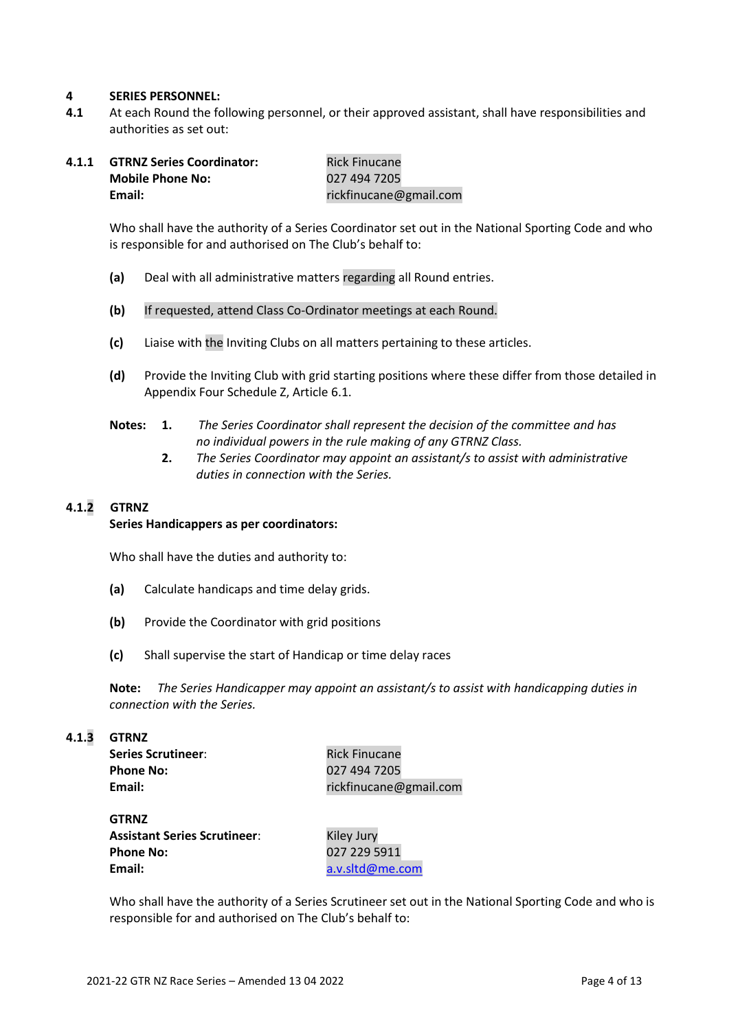#### **4 SERIES PERSONNEL:**

**4.1** At each Round the following personnel, or their approved assistant, shall have responsibilities and authorities as set out:

| 4.1.1 | <b>GTRNZ Series Coordinator:</b> | <b>Rick Finucane</b>   |
|-------|----------------------------------|------------------------|
|       | <b>Mobile Phone No:</b>          | 027 494 7205           |
|       | Email:                           | rickfinucane@gmail.com |

Who shall have the authority of a Series Coordinator set out in the National Sporting Code and who is responsible for and authorised on The Club's behalf to:

- **(a)** Deal with all administrative matters regarding all Round entries.
- **(b)** If requested, attend Class Co-Ordinator meetings at each Round.
- **(c)** Liaise with the Inviting Clubs on all matters pertaining to these articles.
- **(d)** Provide the Inviting Club with grid starting positions where these differ from those detailed in Appendix Four Schedule Z, Article 6.1.
- **Notes: 1.** *The Series Coordinator shall represent the decision of the committee and has no individual powers in the rule making of any GTRNZ Class.*
	- **2.** *The Series Coordinator may appoint an assistant/s to assist with administrative duties in connection with the Series.*

## **4.1.2 GTRNZ**

#### **Series Handicappers as per coordinators:**

Who shall have the duties and authority to:

- **(a)** Calculate handicaps and time delay grids.
- **(b)** Provide the Coordinator with grid positions
- **(c)** Shall supervise the start of Handicap or time delay races

**Note:** *The Series Handicapper may appoint an assistant/s to assist with handicapping duties in connection with the Series.*

#### **4.1.3 GTRNZ**

| <b>Series Scrutineer:</b> |  |
|---------------------------|--|
| <b>Phone No:</b>          |  |
| Email:                    |  |

**Rick Finucane Phone No:** 027 494 7205 **Email:** rickfinucane@gmail.com

| GTRNZ                        |  |
|------------------------------|--|
| Assistant Series Scrutineer: |  |
| <b>Phone No:</b>             |  |
| Email:                       |  |

**Kiley Jury Phone No:** 027 229 5911 **Email:** [a.v.sltd@me.com](mailto:a.v.sltd@me.com)

Who shall have the authority of a Series Scrutineer set out in the National Sporting Code and who is responsible for and authorised on The Club's behalf to: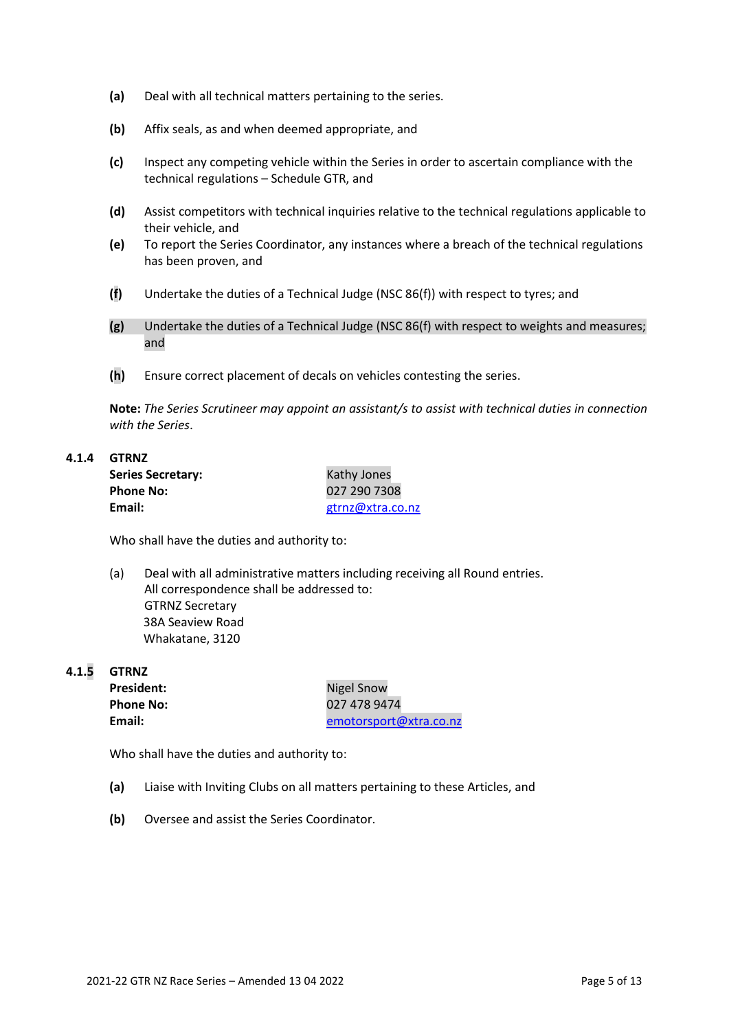- **(a)** Deal with all technical matters pertaining to the series.
- **(b)** Affix seals, as and when deemed appropriate, and
- **(c)** Inspect any competing vehicle within the Series in order to ascertain compliance with the technical regulations – Schedule GTR, and
- **(d)** Assist competitors with technical inquiries relative to the technical regulations applicable to their vehicle, and
- **(e)** To report the Series Coordinator, any instances where a breach of the technical regulations has been proven, and
- **(f)** Undertake the duties of a Technical Judge (NSC 86(f)) with respect to tyres; and
- **(g)** Undertake the duties of a Technical Judge (NSC 86(f) with respect to weights and measures; and
- **(h)** Ensure correct placement of decals on vehicles contesting the series.

**Note:** *The Series Scrutineer may appoint an assistant/s to assist with technical duties in connection with the Series*.

## **4.1.4 GTRNZ**

| <b>Series Secretary:</b> | Kathy Jones      |
|--------------------------|------------------|
| <b>Phone No:</b>         | 027 290 7308     |
| Email:                   | gtrnz@xtra.co.nz |

Who shall have the duties and authority to:

(a) Deal with all administrative matters including receiving all Round entries. All correspondence shall be addressed to: GTRNZ Secretary 38A Seaview Road Whakatane, 3120

**4.1.5 GTRNZ**

President: Nigel Snow

**Phone No:** 027 478 9474 **Email:** [emotorsport@xtra.co.nz](mailto:emotorsport@xtra.co.nz)

Who shall have the duties and authority to:

- **(a)** Liaise with Inviting Clubs on all matters pertaining to these Articles, and
- **(b)** Oversee and assist the Series Coordinator.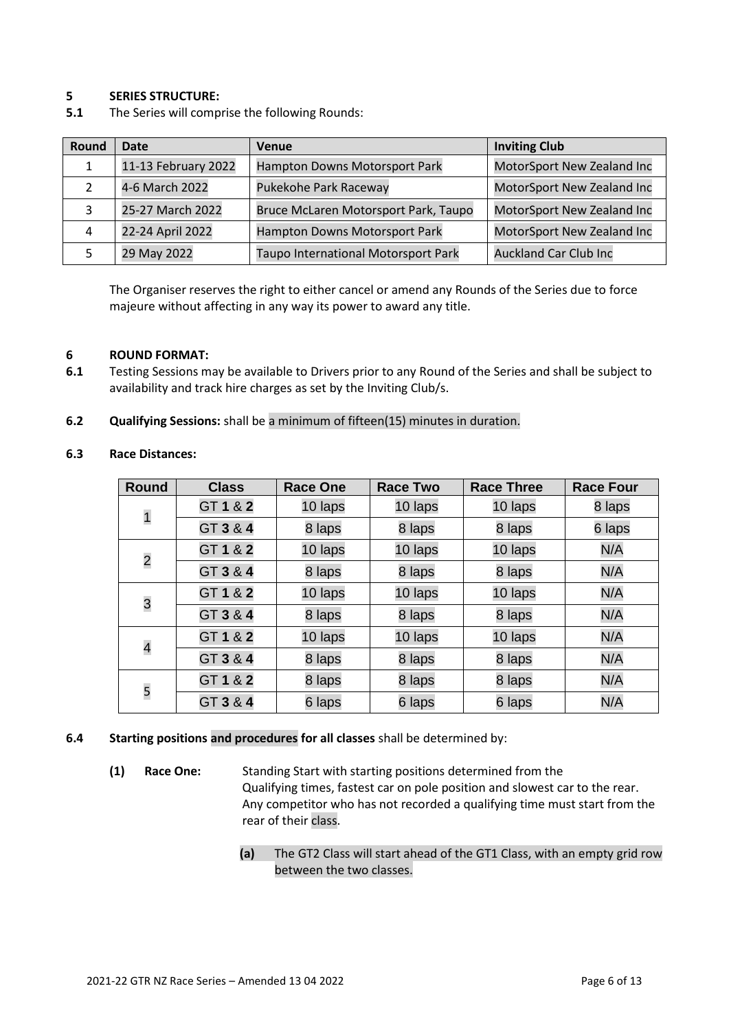## **5 SERIES STRUCTURE:**

| Round | Date<br>Venue       |                                      | <b>Inviting Club</b>         |
|-------|---------------------|--------------------------------------|------------------------------|
| 1     | 11-13 February 2022 | Hampton Downs Motorsport Park        | MotorSport New Zealand Inc   |
|       | 4-6 March 2022      | Pukekohe Park Raceway                | MotorSport New Zealand Inc   |
| 3     | 25-27 March 2022    | Bruce McLaren Motorsport Park, Taupo | MotorSport New Zealand Inc   |
| 4     | 22-24 April 2022    | Hampton Downs Motorsport Park        | MotorSport New Zealand Inc   |
|       | 29 May 2022         | Taupo International Motorsport Park  | <b>Auckland Car Club Inc</b> |

The Organiser reserves the right to either cancel or amend any Rounds of the Series due to force majeure without affecting in any way its power to award any title.

#### **6 ROUND FORMAT:**

- **6.1** Testing Sessions may be available to Drivers prior to any Round of the Series and shall be subject to availability and track hire charges as set by the Inviting Club/s.
- **6.2 Qualifying Sessions:** shall be a minimum of fifteen(15) minutes in duration.

#### **6.3 Race Distances:**

| <b>Round</b>             | <b>Class</b> | <b>Race One</b> | <b>Race Two</b> | <b>Race Three</b> | <b>Race Four</b> |
|--------------------------|--------------|-----------------|-----------------|-------------------|------------------|
| $\mathbf{1}$             | GT 1 & 2     | 10 laps         | 10 laps         | 10 laps           | 8 laps           |
|                          | GT 3 & 4     | 8 laps          | 8 laps          | 8 laps            | 6 laps           |
| $\overline{c}$           | GT 1 & 2     | 10 laps         | 10 laps         | 10 laps           | N/A              |
|                          | GT 3 & 4     | 8 laps          | 8 laps          | 8 laps            | N/A              |
| 3                        | GT 1 & 2     | 10 laps         | 10 laps         | 10 laps           | N/A              |
|                          | GT 3 & 4     | 8 laps          | 8 laps          | 8 laps            | N/A              |
| $\overline{\mathcal{A}}$ | GT 1 & 2     | 10 laps         | 10 laps         | 10 laps           | N/A              |
|                          | GT 3 & 4     | 8 laps          | 8 laps          | 8 laps            | N/A              |
| 5                        | GT 1 & 2     | 8 laps          | 8 laps          | 8 laps            | N/A              |
|                          | GT 3 & 4     | 6 laps          | 6 laps          | 6 laps            | N/A              |

#### **6.4 Starting positions and procedures for all classes** shall be determined by:

- **(1) Race One:** Standing Start with starting positions determined from the Qualifying times, fastest car on pole position and slowest car to the rear. Any competitor who has not recorded a qualifying time must start from the rear of their class.
	- **(a)** The GT2 Class will start ahead of the GT1 Class, with an empty grid row between the two classes.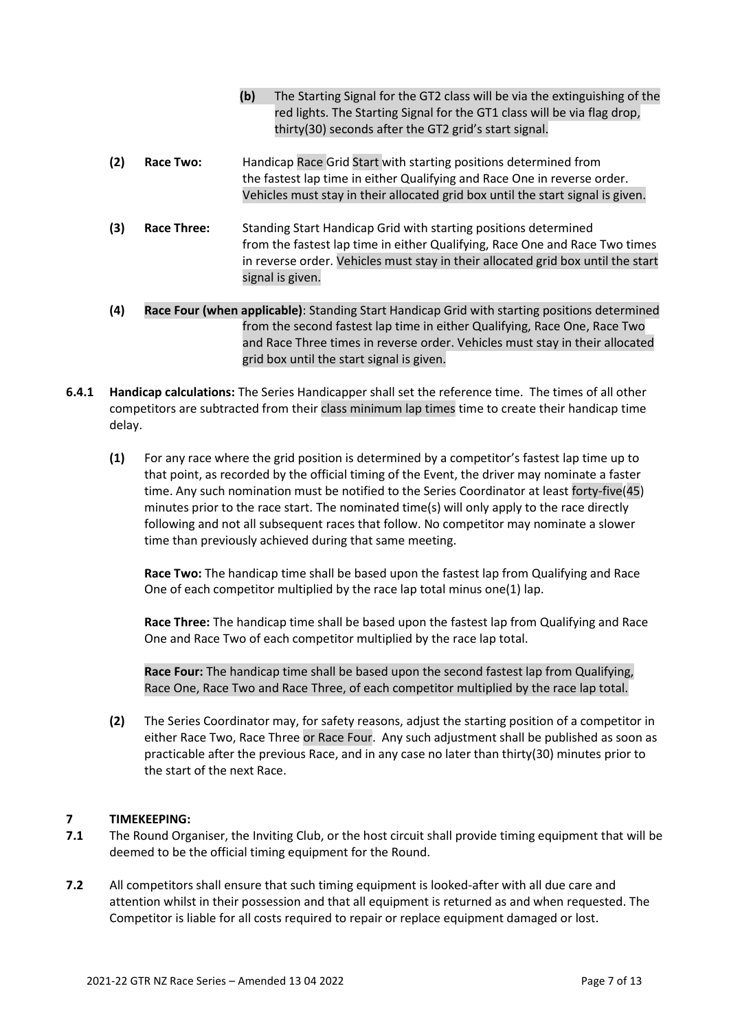|     |             | (b)<br>The Starting Signal for the GT2 class will be via the extinguishing of the<br>red lights. The Starting Signal for the GT1 class will be via flag drop,<br>thirty(30) seconds after the GT2 grid's start signal.                                    |
|-----|-------------|-----------------------------------------------------------------------------------------------------------------------------------------------------------------------------------------------------------------------------------------------------------|
| (2) | Race Two:   | Handicap Race Grid Start with starting positions determined from<br>the fastest lap time in either Qualifying and Race One in reverse order.<br>Vehicles must stay in their allocated grid box until the start signal is given.                           |
| (3) | Race Three: | Standing Start Handicap Grid with starting positions determined<br>from the fastest lap time in either Qualifying, Race One and Race Two times<br>in reverse order. Vehicles must stay in their allocated grid box until the start<br>signal is given.    |
| (4) |             | Race Four (when applicable): Standing Start Handicap Grid with starting positions determined<br>from the second fastest lap time in either Qualifying, Race One, Race Two<br>and Race Three times in reverse order. Vehicles must stay in their allocated |

**6.4.1 Handicap calculations:** The Series Handicapper shall set the reference time. The times of all other competitors are subtracted from their class minimum lap times time to create their handicap time delay.

grid box until the start signal is given.

**(1)** For any race where the grid position is determined by a competitor's fastest lap time up to that point, as recorded by the official timing of the Event, the driver may nominate a faster time. Any such nomination must be notified to the Series Coordinator at least forty-five(45) minutes prior to the race start. The nominated time(s) will only apply to the race directly following and not all subsequent races that follow. No competitor may nominate a slower time than previously achieved during that same meeting.

**Race Two:** The handicap time shall be based upon the fastest lap from Qualifying and Race One of each competitor multiplied by the race lap total minus one(1) lap.

**Race Three:** The handicap time shall be based upon the fastest lap from Qualifying and Race One and Race Two of each competitor multiplied by the race lap total.

**Race Four:** The handicap time shall be based upon the second fastest lap from Qualifying, Race One, Race Two and Race Three, of each competitor multiplied by the race lap total.

**(2)** The Series Coordinator may, for safety reasons, adjust the starting position of a competitor in either Race Two, Race Three or Race Four. Any such adjustment shall be published as soon as practicable after the previous Race, and in any case no later than thirty(30) minutes prior to the start of the next Race.

## **7 TIMEKEEPING:**

- **7.1** The Round Organiser, the Inviting Club, or the host circuit shall provide timing equipment that will be deemed to be the official timing equipment for the Round.
- **7.2** All competitors shall ensure that such timing equipment is looked-after with all due care and attention whilst in their possession and that all equipment is returned as and when requested. The Competitor is liable for all costs required to repair or replace equipment damaged or lost.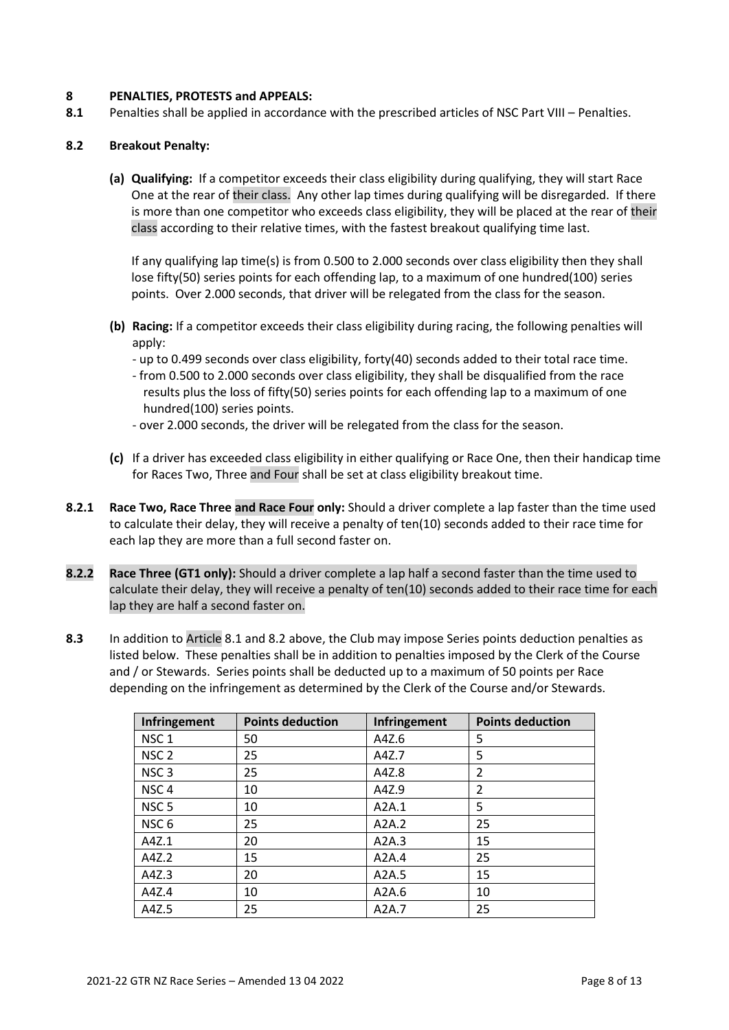## **8 PENALTIES, PROTESTS and APPEALS:**

**8.1** Penalties shall be applied in accordance with the prescribed articles of NSC Part VIII – Penalties.

## **8.2 Breakout Penalty:**

**(a) Qualifying:** If a competitor exceeds their class eligibility during qualifying, they will start Race One at the rear of their class. Any other lap times during qualifying will be disregarded. If there is more than one competitor who exceeds class eligibility, they will be placed at the rear of their class according to their relative times, with the fastest breakout qualifying time last.

If any qualifying lap time(s) is from 0.500 to 2.000 seconds over class eligibility then they shall lose fifty(50) series points for each offending lap, to a maximum of one hundred(100) series points. Over 2.000 seconds, that driver will be relegated from the class for the season.

- **(b) Racing:** If a competitor exceeds their class eligibility during racing, the following penalties will apply:
	- up to 0.499 seconds over class eligibility, forty(40) seconds added to their total race time.
	- from 0.500 to 2.000 seconds over class eligibility, they shall be disqualified from the race results plus the loss of fifty(50) series points for each offending lap to a maximum of one hundred(100) series points.
	- over 2.000 seconds, the driver will be relegated from the class for the season.
- **(c)** If a driver has exceeded class eligibility in either qualifying or Race One, then their handicap time for Races Two, Three and Four shall be set at class eligibility breakout time.
- **8.2.1 Race Two, Race Three and Race Four only:** Should a driver complete a lap faster than the time used to calculate their delay, they will receive a penalty of ten(10) seconds added to their race time for each lap they are more than a full second faster on.
- **8.2.2 Race Three (GT1 only):** Should a driver complete a lap half a second faster than the time used to calculate their delay, they will receive a penalty of ten(10) seconds added to their race time for each lap they are half a second faster on.
- **8.3** In addition to Article 8.1 and 8.2 above, the Club may impose Series points deduction penalties as listed below. These penalties shall be in addition to penalties imposed by the Clerk of the Course and / or Stewards. Series points shall be deducted up to a maximum of 50 points per Race depending on the infringement as determined by the Clerk of the Course and/or Stewards.

| Infringement     | <b>Points deduction</b> | Infringement | <b>Points deduction</b> |
|------------------|-------------------------|--------------|-------------------------|
| NSC <sub>1</sub> | 50                      | A4Z.6        | 5                       |
| NSC <sub>2</sub> | 25                      | A4Z.7        | 5                       |
| NSC <sub>3</sub> | 25                      | A4Z.8        | 2                       |
| NSC <sub>4</sub> | 10                      | A4Z.9        | $\overline{2}$          |
| NSC <sub>5</sub> | 10                      | A2A.1        | 5                       |
| NSC <sub>6</sub> | 25                      | A2A.2        | 25                      |
| A4Z.1            | 20                      | A2A.3        | 15                      |
| A4Z.2            | 15                      | A2A.4        | 25                      |
| A4Z.3            | 20                      | A2A.5        | 15                      |
| A4Z.4            | 10                      | A2A.6        | 10                      |
| A4Z.5            | 25                      | A2A.7        | 25                      |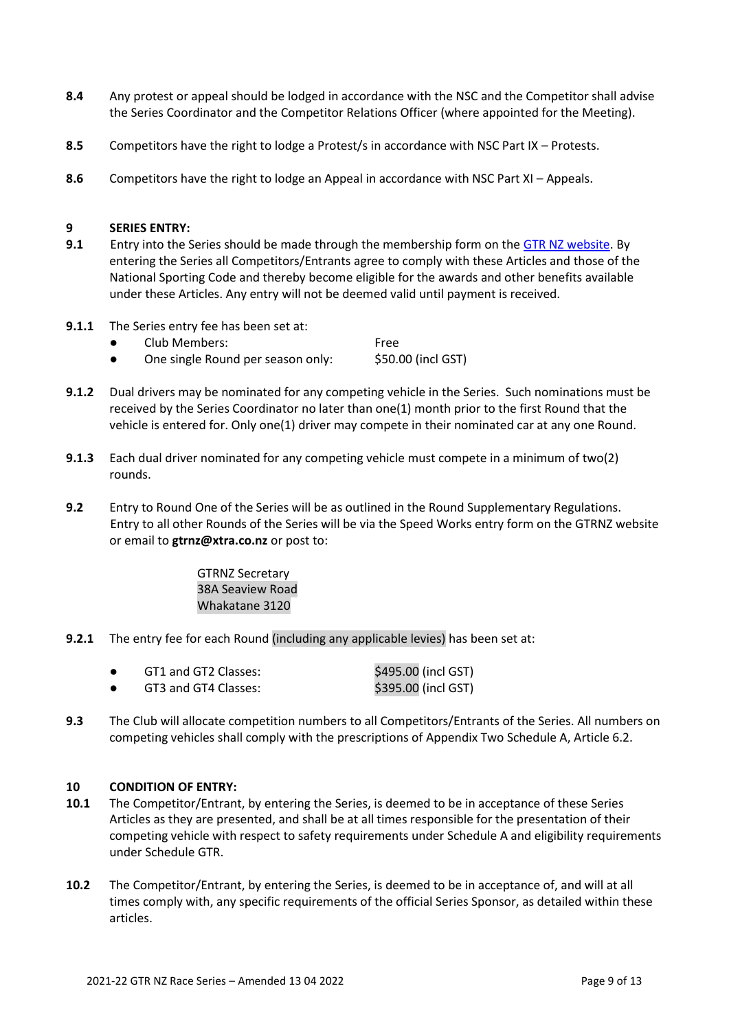- **8.4** Any protest or appeal should be lodged in accordance with the NSC and the Competitor shall advise the Series Coordinator and the Competitor Relations Officer (where appointed for the Meeting).
- **8.5** Competitors have the right to lodge a Protest/s in accordance with NSC Part IX Protests.
- **8.6** Competitors have the right to lodge an Appeal in accordance with NSC Part XI Appeals.

## **9 SERIES ENTRY:**

- **9.1** Entry into the Series should be made through the membership form on the [GTR NZ website.](https://www.gtrnz.co.nz/) By entering the Series all Competitors/Entrants agree to comply with these Articles and those of the National Sporting Code and thereby become eligible for the awards and other benefits available under these Articles. Any entry will not be deemed valid until payment is received.
- **9.1.1** The Series entry fee has been set at:
	- Club Members: Free
	- One single Round per season only: \$50.00 (incl GST)
- **9.1.2** Dual drivers may be nominated for any competing vehicle in the Series. Such nominations must be received by the Series Coordinator no later than one(1) month prior to the first Round that the vehicle is entered for. Only one(1) driver may compete in their nominated car at any one Round.
- **9.1.3** Each dual driver nominated for any competing vehicle must compete in a minimum of two(2) rounds.
- **9.2** Entry to Round One of the Series will be as outlined in the Round Supplementary Regulations. Entry to all other Rounds of the Series will be via the Speed Works entry form on the GTRNZ website or email to **gtrnz@xtra.co.nz** or post to:

GTRNZ Secretary 38A Seaview Road Whakatane 3120

**9.2.1** The entry fee for each Round (including any applicable levies) has been set at:

|  | GT1 and GT2 Classes: | \$495.00 (incl GST) |
|--|----------------------|---------------------|
|--|----------------------|---------------------|

- GT3 and GT4 Classes:  $$395.00$  (incl GST)
- **9.3** The Club will allocate competition numbers to all Competitors/Entrants of the Series. All numbers on competing vehicles shall comply with the prescriptions of Appendix Two Schedule A, Article 6.2.

## **10 CONDITION OF ENTRY:**

- **10.1** The Competitor/Entrant, by entering the Series, is deemed to be in acceptance of these Series Articles as they are presented, and shall be at all times responsible for the presentation of their competing vehicle with respect to safety requirements under Schedule A and eligibility requirements under Schedule GTR.
- **10.2** The Competitor/Entrant, by entering the Series, is deemed to be in acceptance of, and will at all times comply with, any specific requirements of the official Series Sponsor, as detailed within these articles.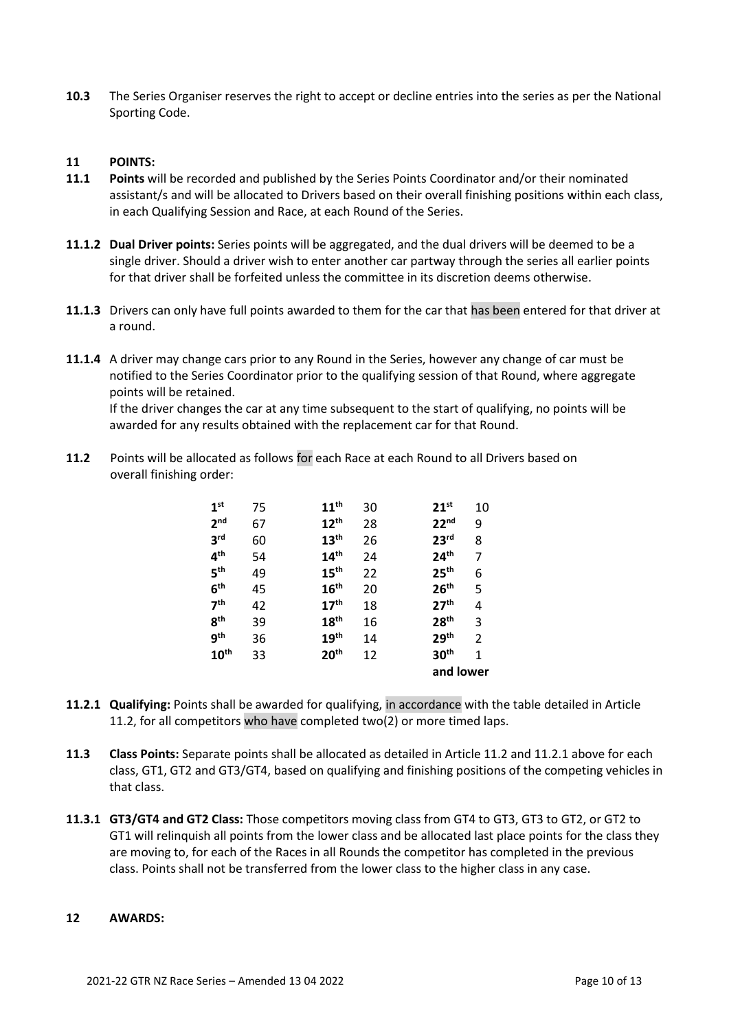**10.3** The Series Organiser reserves the right to accept or decline entries into the series as per the National Sporting Code.

## **11 POINTS:**

- **11.1 Points** will be recorded and published by the Series Points Coordinator and/or their nominated assistant/s and will be allocated to Drivers based on their overall finishing positions within each class, in each Qualifying Session and Race, at each Round of the Series.
- **11.1.2 Dual Driver points:** Series points will be aggregated, and the dual drivers will be deemed to be a single driver. Should a driver wish to enter another car partway through the series all earlier points for that driver shall be forfeited unless the committee in its discretion deems otherwise.
- **11.1.3** Drivers can only have full points awarded to them for the car that has been entered for that driver at a round.
- **11.1.4** A driver may change cars prior to any Round in the Series, however any change of car must be notified to the Series Coordinator prior to the qualifying session of that Round, where aggregate points will be retained.

If the driver changes the car at any time subsequent to the start of qualifying, no points will be awarded for any results obtained with the replacement car for that Round.

**11.2** Points will be allocated as follows for each Race at each Round to all Drivers based on overall finishing order:

| 1 <sup>st</sup>  | 75 | 11 <sup>th</sup> | 30 | $21^{st}$        | 10        |  |
|------------------|----|------------------|----|------------------|-----------|--|
| 2 <sub>nd</sub>  | 67 | 12 <sup>th</sup> | 28 | 22 <sup>nd</sup> | 9         |  |
| 3 <sup>rd</sup>  | 60 | 13 <sup>th</sup> | 26 | 23 <sup>rd</sup> | 8         |  |
| 4 <sup>th</sup>  | 54 | 14 <sup>th</sup> | 24 | 24 <sup>th</sup> | 7         |  |
| 5 <sup>th</sup>  | 49 | 15 <sup>th</sup> | 22 | 25 <sup>th</sup> | 6         |  |
| 6 <sup>th</sup>  | 45 | 16 <sup>th</sup> | 20 | 26 <sup>th</sup> | 5         |  |
| 7 <sup>th</sup>  | 42 | 17 <sup>th</sup> | 18 | 27 <sup>th</sup> | 4         |  |
| 8 <sup>th</sup>  | 39 | 18 <sup>th</sup> | 16 | 28 <sup>th</sup> | 3         |  |
| 9 <sup>th</sup>  | 36 | 19 <sup>th</sup> | 14 | 29 <sup>th</sup> | 2         |  |
| 10 <sup>th</sup> | 33 | 20 <sup>th</sup> | 12 | 30 <sup>th</sup> | 1         |  |
|                  |    |                  |    |                  | and lower |  |
|                  |    |                  |    |                  |           |  |

- **11.2.1 Qualifying:** Points shall be awarded for qualifying, in accordance with the table detailed in Article 11.2, for all competitors who have completed two(2) or more timed laps.
- **11.3 Class Points:** Separate points shall be allocated as detailed in Article 11.2 and 11.2.1 above for each class, GT1, GT2 and GT3/GT4, based on qualifying and finishing positions of the competing vehicles in that class.
- **11.3.1 GT3/GT4 and GT2 Class:** Those competitors moving class from GT4 to GT3, GT3 to GT2, or GT2 to GT1 will relinquish all points from the lower class and be allocated last place points for the class they are moving to, for each of the Races in all Rounds the competitor has completed in the previous class. Points shall not be transferred from the lower class to the higher class in any case.

## **12 AWARDS:**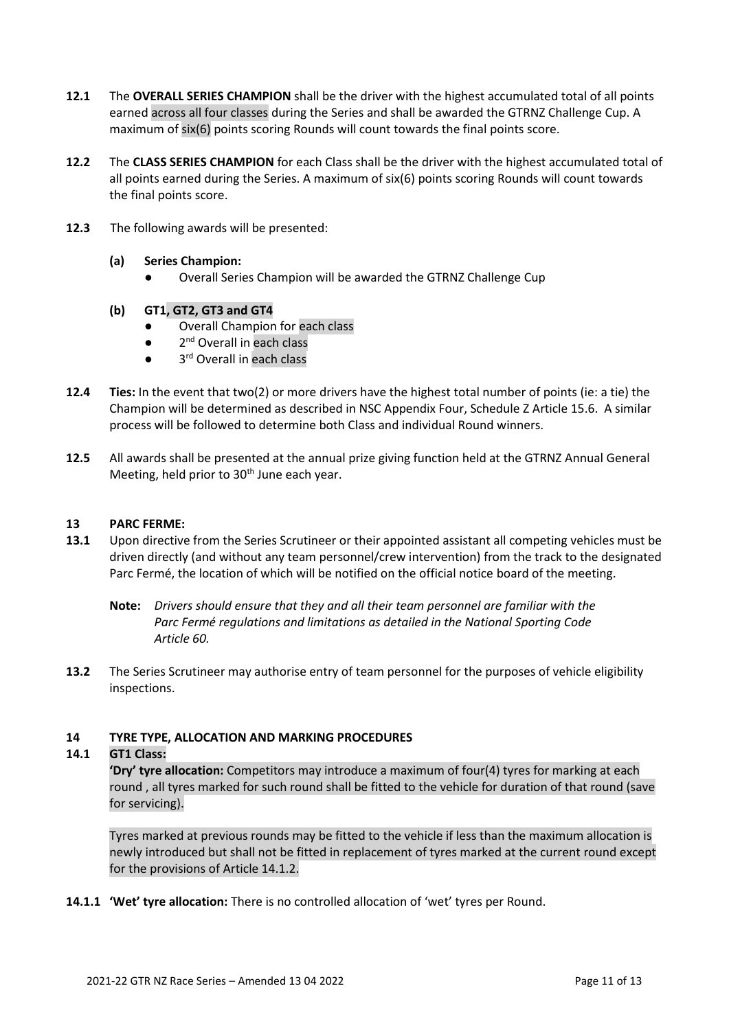- **12.1** The **OVERALL SERIES CHAMPION** shall be the driver with the highest accumulated total of all points earned across all four classes during the Series and shall be awarded the GTRNZ Challenge Cup. A maximum of six(6) points scoring Rounds will count towards the final points score.
- **12.2** The **CLASS SERIES CHAMPION** for each Class shall be the driver with the highest accumulated total of all points earned during the Series. A maximum of six(6) points scoring Rounds will count towards the final points score.
- **12.3** The following awards will be presented:
	- **(a) Series Champion:**
		- Overall Series Champion will be awarded the GTRNZ Challenge Cup
	- **(b) GT1, GT2, GT3 and GT4**
		- Overall Champion for each class
		- $\bullet$ 2<sup>nd</sup> Overall in each class
		- 3<sup>rd</sup> Overall in each class
- **12.4 Ties:** In the event that two(2) or more drivers have the highest total number of points (ie: a tie) the Champion will be determined as described in NSC Appendix Four, Schedule Z Article 15.6. A similar process will be followed to determine both Class and individual Round winners.
- **12.5** All awards shall be presented at the annual prize giving function held at the GTRNZ Annual General Meeting, held prior to 30<sup>th</sup> June each year.

## **13 PARC FERME:**

- **13.1** Upon directive from the Series Scrutineer or their appointed assistant all competing vehicles must be driven directly (and without any team personnel/crew intervention) from the track to the designated Parc Fermé, the location of which will be notified on the official notice board of the meeting.
	- **Note:** *Drivers should ensure that they and all their team personnel are familiar with the Parc Fermé regulations and limitations as detailed in the National Sporting Code Article 60.*
- **13.2** The Series Scrutineer may authorise entry of team personnel for the purposes of vehicle eligibility inspections.

## **14 TYRE TYPE, ALLOCATION AND MARKING PROCEDURES**

## **14.1 GT1 Class:**

**'Dry' tyre allocation:** Competitors may introduce a maximum of four(4) tyres for marking at each round , all tyres marked for such round shall be fitted to the vehicle for duration of that round (save for servicing).

Tyres marked at previous rounds may be fitted to the vehicle if less than the maximum allocation is newly introduced but shall not be fitted in replacement of tyres marked at the current round except for the provisions of Article 14.1.2.

**14.1.1 'Wet' tyre allocation:** There is no controlled allocation of 'wet' tyres per Round.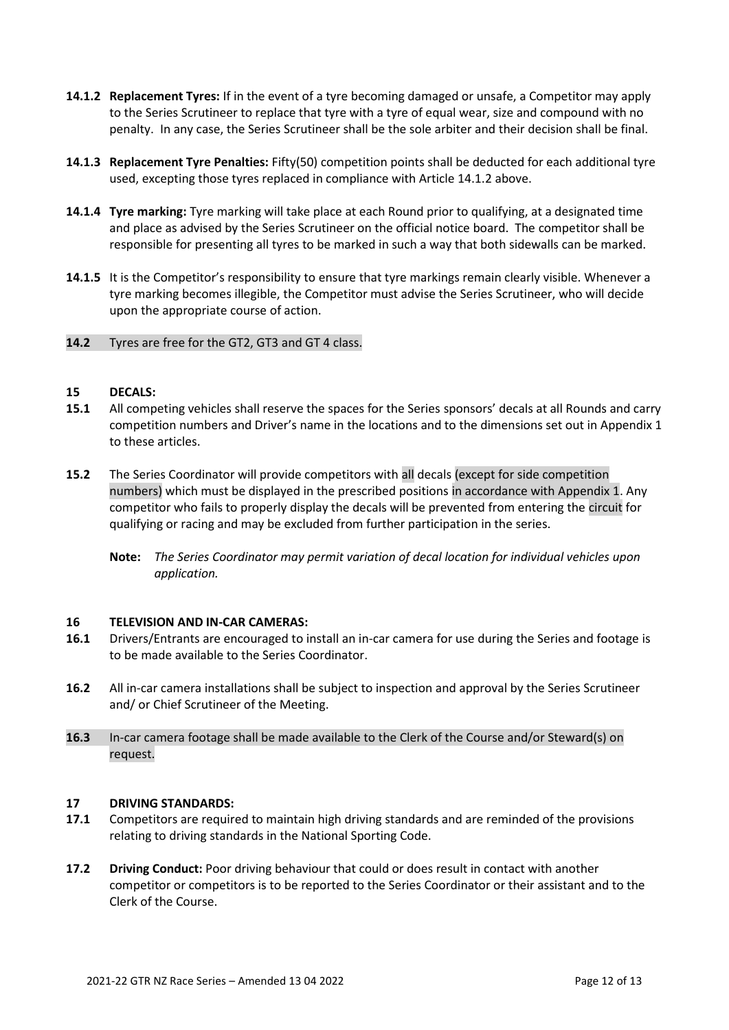- **14.1.2 Replacement Tyres:** If in the event of a tyre becoming damaged or unsafe, a Competitor may apply to the Series Scrutineer to replace that tyre with a tyre of equal wear, size and compound with no penalty. In any case, the Series Scrutineer shall be the sole arbiter and their decision shall be final.
- **14.1.3 Replacement Tyre Penalties:** Fifty(50) competition points shall be deducted for each additional tyre used, excepting those tyres replaced in compliance with Article 14.1.2 above.
- **14.1.4 Tyre marking:** Tyre marking will take place at each Round prior to qualifying, at a designated time and place as advised by the Series Scrutineer on the official notice board. The competitor shall be responsible for presenting all tyres to be marked in such a way that both sidewalls can be marked.
- **14.1.5** It is the Competitor's responsibility to ensure that tyre markings remain clearly visible. Whenever a tyre marking becomes illegible, the Competitor must advise the Series Scrutineer, who will decide upon the appropriate course of action.

## **14.2** Tyres are free for the GT2, GT3 and GT 4 class.

#### **15 DECALS:**

- **15.1** All competing vehicles shall reserve the spaces for the Series sponsors' decals at all Rounds and carry competition numbers and Driver's name in the locations and to the dimensions set out in Appendix 1 to these articles.
- **15.2** The Series Coordinator will provide competitors with all decals (except for side competition numbers) which must be displayed in the prescribed positions in accordance with Appendix 1. Any competitor who fails to properly display the decals will be prevented from entering the circuit for qualifying or racing and may be excluded from further participation in the series.
	- **Note:** *The Series Coordinator may permit variation of decal location for individual vehicles upon application.*

## **16 TELEVISION AND IN-CAR CAMERAS:**

- **16.1** Drivers/Entrants are encouraged to install an in-car camera for use during the Series and footage is to be made available to the Series Coordinator.
- **16.2** All in-car camera installations shall be subject to inspection and approval by the Series Scrutineer and/ or Chief Scrutineer of the Meeting.
- **16.3** In-car camera footage shall be made available to the Clerk of the Course and/or Steward(s) on request.

#### **17 DRIVING STANDARDS:**

- **17.1** Competitors are required to maintain high driving standards and are reminded of the provisions relating to driving standards in the National Sporting Code.
- **17.2 Driving Conduct:** Poor driving behaviour that could or does result in contact with another competitor or competitors is to be reported to the Series Coordinator or their assistant and to the Clerk of the Course.